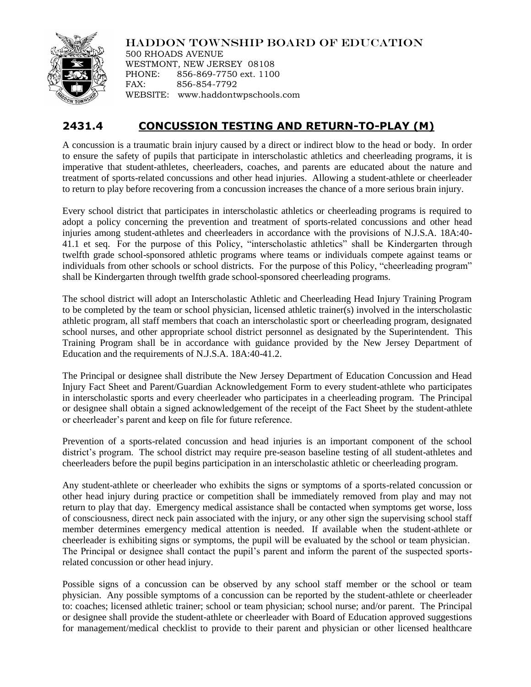

## HADDON TOWNSHIP BOARD OF EDUCATION

500 RHOADS AVENUE WESTMONT, NEW JERSEY 08108 PHONE: 856-869-7750 ext. 1100 FAX: 856-854-7792 WEBSITE: www.haddontwpschools.com

## **2431.4 CONCUSSION TESTING AND RETURN-TO-PLAY (M)**

A concussion is a traumatic brain injury caused by a direct or indirect blow to the head or body. In order to ensure the safety of pupils that participate in interscholastic athletics and cheerleading programs, it is imperative that student-athletes, cheerleaders, coaches, and parents are educated about the nature and treatment of sports-related concussions and other head injuries. Allowing a student-athlete or cheerleader to return to play before recovering from a concussion increases the chance of a more serious brain injury.

Every school district that participates in interscholastic athletics or cheerleading programs is required to adopt a policy concerning the prevention and treatment of sports-related concussions and other head injuries among student-athletes and cheerleaders in accordance with the provisions of N.J.S.A. 18A:40- 41.1 et seq. For the purpose of this Policy, "interscholastic athletics" shall be Kindergarten through twelfth grade school-sponsored athletic programs where teams or individuals compete against teams or individuals from other schools or school districts. For the purpose of this Policy, "cheerleading program" shall be Kindergarten through twelfth grade school-sponsored cheerleading programs.

The school district will adopt an Interscholastic Athletic and Cheerleading Head Injury Training Program to be completed by the team or school physician, licensed athletic trainer(s) involved in the interscholastic athletic program, all staff members that coach an interscholastic sport or cheerleading program, designated school nurses, and other appropriate school district personnel as designated by the Superintendent. This Training Program shall be in accordance with guidance provided by the New Jersey Department of Education and the requirements of N.J.S.A. 18A:40-41.2.

The Principal or designee shall distribute the New Jersey Department of Education Concussion and Head Injury Fact Sheet and Parent/Guardian Acknowledgement Form to every student-athlete who participates in interscholastic sports and every cheerleader who participates in a cheerleading program. The Principal or designee shall obtain a signed acknowledgement of the receipt of the Fact Sheet by the student-athlete or cheerleader's parent and keep on file for future reference.

Prevention of a sports-related concussion and head injuries is an important component of the school district's program. The school district may require pre-season baseline testing of all student-athletes and cheerleaders before the pupil begins participation in an interscholastic athletic or cheerleading program.

Any student-athlete or cheerleader who exhibits the signs or symptoms of a sports-related concussion or other head injury during practice or competition shall be immediately removed from play and may not return to play that day. Emergency medical assistance shall be contacted when symptoms get worse, loss of consciousness, direct neck pain associated with the injury, or any other sign the supervising school staff member determines emergency medical attention is needed. If available when the student-athlete or cheerleader is exhibiting signs or symptoms, the pupil will be evaluated by the school or team physician. The Principal or designee shall contact the pupil's parent and inform the parent of the suspected sportsrelated concussion or other head injury.

Possible signs of a concussion can be observed by any school staff member or the school or team physician. Any possible symptoms of a concussion can be reported by the student-athlete or cheerleader to: coaches; licensed athletic trainer; school or team physician; school nurse; and/or parent. The Principal or designee shall provide the student-athlete or cheerleader with Board of Education approved suggestions for management/medical checklist to provide to their parent and physician or other licensed healthcare